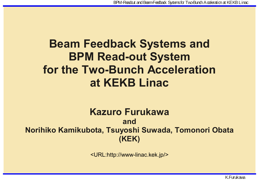# **Beam Feedback Systems and BPM Read-out System for the Two-Bunch Acceleration at KEKB Linac**

## **Kazuro Furukawa and Norihiko Kamikubota, Tsuyoshi Suwada, Tomonori Obata (KEK)**

<URL:http://www-linac.kek.jp/>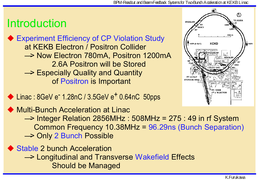## Introduction

◆ Experiment Efficiency of CP Violation Study at KEKB Electron / Positron Collider —> Now Electron 780mA, Positron 1200mA 2.6A Positron will be Stored —> Especially Quality and Quantity of Positron is Important

◆ Linac : 8GeV e<sup>-</sup> 1.28nC / 3.5GeV e<sup>+</sup> 0.64nC 50pps

◆ Multi-Bunch Acceleration at Linac  $\rightarrow$  Integer Relation 2856MHz : 508MHz = 275 : 49 in rf System Common Frequency 10.38MHz = 96.29ns (Bunch Separation) —> Only 2 Bunch Possible

◆ Stable 2 bunch Acceleration —> Longitudinal and Transverse Wakefield Effects Should be Managed

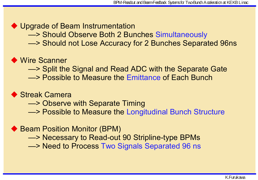#### ◆ Upgrade of Beam Instrumentation —> Should Observe Both 2 Bunches Simultaneously —> Should not Lose Accuracy for 2 Bunches Separated 96ns

#### ◆ Wire Scanner

—> Split the Signal and Read ADC with the Separate Gate

—> Possible to Measure the Emittance of Each Bunch

#### $\blacklozenge$  Streak Camera

- —> Observe with Separate Timing
- —> Possible to Measure the Longitudinal Bunch Structure

◆ Beam Position Monitor (BPM) —> Necessary to Read-out 90 Stripline-type BPMs —> Need to Process Two Signals Separated 96 ns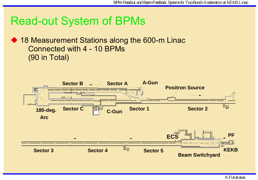# Read-out System of BPMs

◆ 18 Measurement Stations along the 600-m Linac Connected with 4 - 10 BPMs (90 in Total)

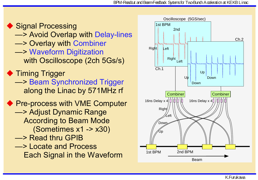- ◆ Signal Processing —> Avoid Overlap with Delay-lines —> Overlay with Combiner —> Waveform Digitization with Oscilloscope (2ch 5Gs/s)
- ◆ Timing Trigger —> Beam Synchronized Trigger along the Linac by 571MHz rf
- ◆ Pre-process with VME Computer —> Adjust Dynamic Range According to Beam Mode (Sometimes x1 -> x30) —> Read thru GPIB —> Locate and Process Each Signal in the Waveform

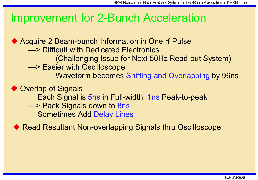## Improvement for 2-Bunch Acceleration

◆ Acquire 2 Beam-bunch Information in One rf Pulse —> Difficult with Dedicated Electronics (Challenging Issue for Next 50Hz Read-out System) —> Easier with Oscilloscope Waveform becomes Shifting and Overlapping by 96ns ◆ Overlap of Signals Each Signal is 5ns in Full-width, 1ns Peak-to-peak —> Pack Signals down to 8ns Sometimes Add Delay Lines

◆ Read Resultant Non-overlapping Signals thru Oscilloscope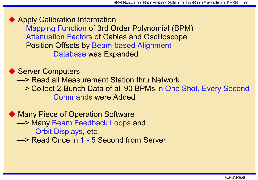◆ Apply Calibration Information Mapping Function of 3rd Order Polynomial (BPM) Attenuation Factors of Cables and Oscilloscope Position Offsets by Beam-based Alignment Database was Expanded

◆ Server Computers

—> Read all Measurement Station thru Network

—> Collect 2-Bunch Data of all 90 BPMs in One Shot, Every Second Commands were Added

◆ Many Piece of Operation Software —> Many Beam Feedback Loops and Orbit Displays, etc. —> Read Once in 1 - 5 Second from Server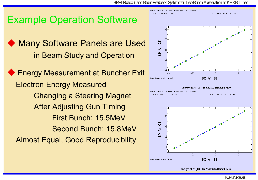## Example Operation Software

◆ Many Software Panels are Used in Beam Study and Operation

**Energy Measurement at Buncher Exit** Electron Energy Measured Changing a Steering Magnet After Adjusting Gun Timing First Bunch: 15.5MeV Second Bunch: 15.8MeV Almost Equal, Good Reproducibility



Energy at A1 B8:15.784086844082665 MeV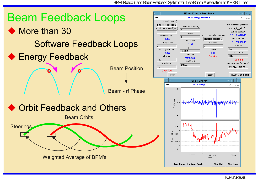

K.Furukawa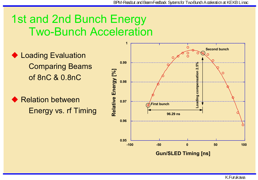# 1st and 2nd Bunch Energy Two-Bunch Acceleration

- ◆ Loading Evaluation Comparing Beams of 8nC & 0.8nC
- $\blacktriangleright$  Relation between Energy vs. rf Timing



K.Furukawa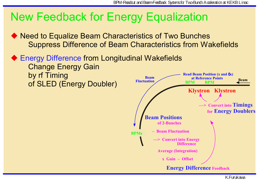# New Feedback for Energy Equalization

◆ Need to Equalize Beam Characteristics of Two Bunches Suppress Difference of Beam Characteristics from Wakefields

## ◆ Energy Difference from Longitudinal Wakefields

Change Energy Gain by rf Timing of SLED (Energy Doubler) **BPM BPM BPM** 

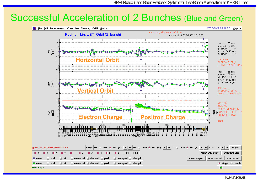## Successful Acceleration of 2 Bunches (Blue and Green)



K.Furukawa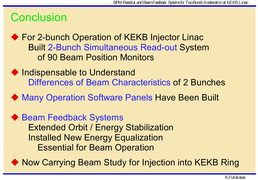# **Conclusion**

- ◆ For 2-bunch Operation of KEKB Injector Linac Built 2-Bunch Simultaneous Read-out System of 90 Beam Position Monitors
- ◆ Indispensable to Understand Differences of Beam Characteristics of 2 Bunches
- ◆ Many Operation Software Panels Have Been Built
- ◆ Beam Feedback Systems Extended Orbit / Energy Stabilization Installed New Energy Equalization Essential for Beam Operation

◆ Now Carrying Beam Study for Injection into KEKB Ring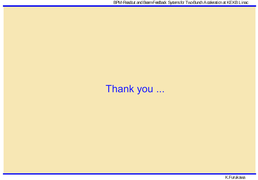Thank you ...

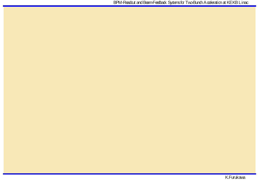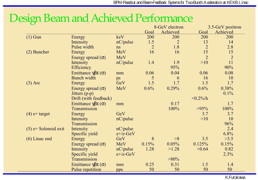# Design Beam and Achieved Performance

|                        |                                            |                 | 8-GeV electron |                |                | 3.5-GeV positron |  |
|------------------------|--------------------------------------------|-----------------|----------------|----------------|----------------|------------------|--|
|                        |                                            |                 | Goal           | Achieved       | Goal           | Achieved         |  |
| $(1)$ Gun              | Energy                                     | keV             | 200            | 200            | 200            | 200              |  |
|                        | Intensity                                  | nC/pulse        | 1.5            | $\overline{2}$ | 13             | 14               |  |
|                        | Pulse width                                | ns              | $\overline{2}$ | 1.8            | $\overline{2}$ | 2.8              |  |
| (2) Buncher            | Energy                                     | <b>MeV</b>      | 16             | 16             | 15             | 15               |  |
|                        | Energy spread $(\sigma)$                   | <b>MeV</b>      |                |                | $\overline{2}$ | $\overline{2}$   |  |
|                        | Intensity                                  | $nC$ /pulse     | 1.4            | 1.9            | $>10$          | 11               |  |
|                        | Efficiency                                 |                 |                | 95%            |                | 90%              |  |
|                        | Emittance $\gamma \beta \epsilon (\sigma)$ | mm              | 0.06           | 0.04           | 0.06           | 0.08             |  |
|                        | <b>Bunch width</b>                         | ps              | 5              | 6              | 16             | 10               |  |
| $(3)$ Arc              | Energy                                     | GeV             | 1.5            | 1.7            | 1.5            | 1.7              |  |
|                        | Energy spread $(\sigma)$                   | MeV             | 0.6%           | 0.29%          | 0.6%           | 0.38%            |  |
|                        | Jitters (p-p)                              |                 |                |                |                | 0.1%             |  |
|                        | Drift (with feedback)                      |                 |                |                | $< 0.2\%/h$    |                  |  |
|                        | Emittance $\gamma \beta \epsilon (\sigma)$ | mm              |                | 0.17           |                | 1.7              |  |
|                        | Transmission                               |                 |                | 100%           | $>95\%$        | 100%             |  |
| $(4)$ e+ target        | Energy                                     | GeV             |                |                | 3.7            | 3.7              |  |
|                        | Intensity                                  | nC/pulse        |                |                | $>10$          | 10               |  |
|                        | Transmission                               |                 |                |                |                | 96%              |  |
| $(5)$ e+ Solenoid exit | Intensity                                  | nC/pulse        |                |                |                | 2.4              |  |
|                        | Specific yield                             | $e$ +/ $e$ -GeV |                |                |                | 6.8%             |  |
| $(6)$ Linac end        | Energy                                     | GeV             | 8              | >8             | 3.5            | >3.5             |  |
|                        | Energy spread $(\sigma)$                   | <b>MeV</b>      | 0.15%          | 0.05%          | 0.125%         | 0.15%            |  |
|                        | Intensity                                  | $nC$ /pulse     | 1.28           | >1.28          | >0.64          | 0.82             |  |
|                        | Specific yield                             | $e$ +/ $e$ -GeV |                |                |                | 2.3%             |  |
|                        | Transmission                               |                 |                | $>80\%$        |                |                  |  |
|                        | Emittance $\gamma \beta \epsilon (\sigma)$ | mm              | 0.25           | 0.31           | 1.5            | 1.4              |  |
|                        | <b>Pulse repetition</b>                    | pps             | 50             | 50             | 50             | 50               |  |